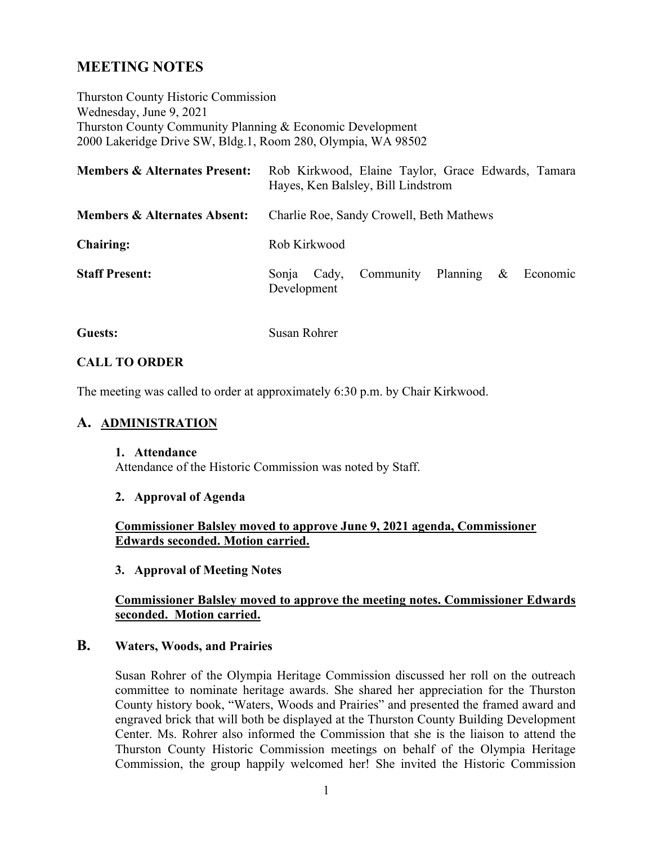# **MEETING NOTES**

Thurston County Historic Commission Wednesday, June 9, 2021 Thurston County Community Planning & Economic Development 2000 Lakeridge Drive SW, Bldg.1, Room 280, Olympia, WA 98502

| <b>Members &amp; Alternates Present:</b> | Rob Kirkwood, Elaine Taylor, Grace Edwards, Tamara<br>Hayes, Ken Balsley, Bill Lindstrom |
|------------------------------------------|------------------------------------------------------------------------------------------|
| <b>Members &amp; Alternates Absent:</b>  | Charlie Roe, Sandy Crowell, Beth Mathews                                                 |
| <b>Chairing:</b>                         | Rob Kirkwood                                                                             |
| <b>Staff Present:</b>                    | Community Planning<br>$\&$<br>Economic<br>Cady,<br>Sonja<br>Development                  |

**Guests:** Susan Rohrer

#### **CALL TO ORDER**

The meeting was called to order at approximately 6:30 p.m. by Chair Kirkwood.

#### **A. ADMINISTRATION**

#### **1. Attendance**

Attendance of the Historic Commission was noted by Staff.

#### **2. Approval of Agenda**

#### **Commissioner Balsley moved to approve June 9, 2021 agenda, Commissioner Edwards seconded. Motion carried.**

#### **3. Approval of Meeting Notes**

#### **Commissioner Balsley moved to approve the meeting notes. Commissioner Edwards seconded. Motion carried.**

#### **B. Waters, Woods, and Prairies**

Susan Rohrer of the Olympia Heritage Commission discussed her roll on the outreach committee to nominate heritage awards. She shared her appreciation for the Thurston County history book, "Waters, Woods and Prairies" and presented the framed award and engraved brick that will both be displayed at the Thurston County Building Development Center. Ms. Rohrer also informed the Commission that she is the liaison to attend the Thurston County Historic Commission meetings on behalf of the Olympia Heritage Commission, the group happily welcomed her! She invited the Historic Commission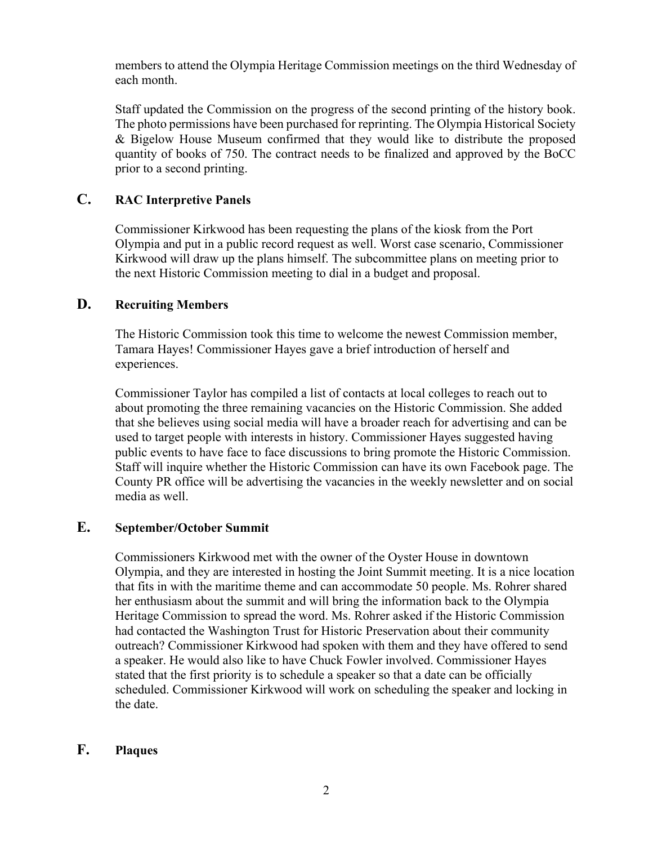members to attend the Olympia Heritage Commission meetings on the third Wednesday of each month.

Staff updated the Commission on the progress of the second printing of the history book. The photo permissions have been purchased for reprinting. The Olympia Historical Society & Bigelow House Museum confirmed that they would like to distribute the proposed quantity of books of 750. The contract needs to be finalized and approved by the BoCC prior to a second printing.

## **C. RAC Interpretive Panels**

Commissioner Kirkwood has been requesting the plans of the kiosk from the Port Olympia and put in a public record request as well. Worst case scenario, Commissioner Kirkwood will draw up the plans himself. The subcommittee plans on meeting prior to the next Historic Commission meeting to dial in a budget and proposal.

## **D. Recruiting Members**

The Historic Commission took this time to welcome the newest Commission member, Tamara Hayes! Commissioner Hayes gave a brief introduction of herself and experiences.

Commissioner Taylor has compiled a list of contacts at local colleges to reach out to about promoting the three remaining vacancies on the Historic Commission. She added that she believes using social media will have a broader reach for advertising and can be used to target people with interests in history. Commissioner Hayes suggested having public events to have face to face discussions to bring promote the Historic Commission. Staff will inquire whether the Historic Commission can have its own Facebook page. The County PR office will be advertising the vacancies in the weekly newsletter and on social media as well.

## **E. September/October Summit**

Commissioners Kirkwood met with the owner of the Oyster House in downtown Olympia, and they are interested in hosting the Joint Summit meeting. It is a nice location that fits in with the maritime theme and can accommodate 50 people. Ms. Rohrer shared her enthusiasm about the summit and will bring the information back to the Olympia Heritage Commission to spread the word. Ms. Rohrer asked if the Historic Commission had contacted the Washington Trust for Historic Preservation about their community outreach? Commissioner Kirkwood had spoken with them and they have offered to send a speaker. He would also like to have Chuck Fowler involved. Commissioner Hayes stated that the first priority is to schedule a speaker so that a date can be officially scheduled. Commissioner Kirkwood will work on scheduling the speaker and locking in the date.

## **F. Plaques**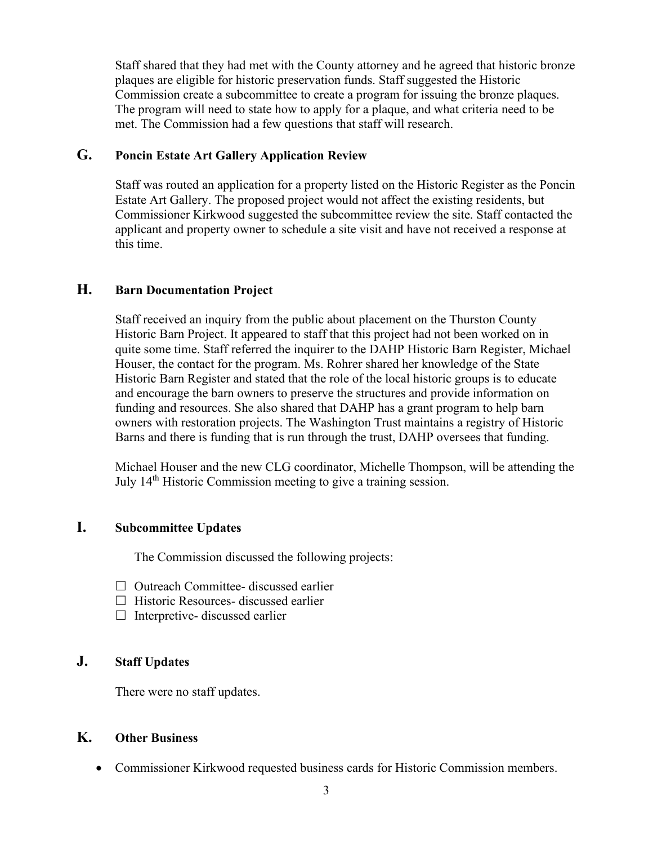Staff shared that they had met with the County attorney and he agreed that historic bronze plaques are eligible for historic preservation funds. Staff suggested the Historic Commission create a subcommittee to create a program for issuing the bronze plaques. The program will need to state how to apply for a plaque, and what criteria need to be met. The Commission had a few questions that staff will research.

## **G. Poncin Estate Art Gallery Application Review**

Staff was routed an application for a property listed on the Historic Register as the Poncin Estate Art Gallery. The proposed project would not affect the existing residents, but Commissioner Kirkwood suggested the subcommittee review the site. Staff contacted the applicant and property owner to schedule a site visit and have not received a response at this time.

## **H. Barn Documentation Project**

Staff received an inquiry from the public about placement on the Thurston County Historic Barn Project. It appeared to staff that this project had not been worked on in quite some time. Staff referred the inquirer to the DAHP Historic Barn Register, Michael Houser, the contact for the program. Ms. Rohrer shared her knowledge of the State Historic Barn Register and stated that the role of the local historic groups is to educate and encourage the barn owners to preserve the structures and provide information on funding and resources. She also shared that DAHP has a grant program to help barn owners with restoration projects. The Washington Trust maintains a registry of Historic Barns and there is funding that is run through the trust, DAHP oversees that funding.

Michael Houser and the new CLG coordinator, Michelle Thompson, will be attending the July 14th Historic Commission meeting to give a training session.

## **I. Subcommittee Updates**

The Commission discussed the following projects:

- $\Box$  Outreach Committee- discussed earlier
- $\Box$  Historic Resources- discussed earlier
- $\Box$  Interpretive- discussed earlier

## **J. Staff Updates**

There were no staff updates.

## **K. Other Business**

• Commissioner Kirkwood requested business cards for Historic Commission members.